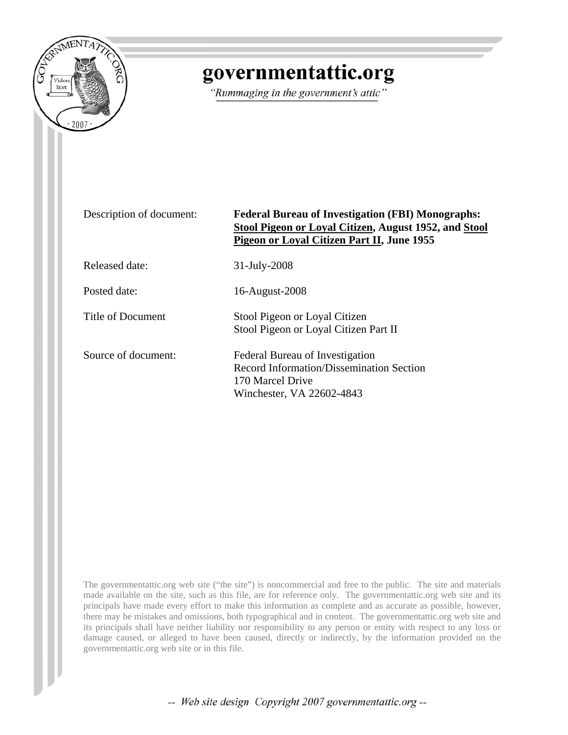

## governmentattic.org

"Rummaging in the government's attic"

|  | Description of document: |  |
|--|--------------------------|--|
|--|--------------------------|--|

#### **Federal Bureau of Investigation (FBI) Monographs: Stool Pigeon or Loyal Citizen, August 1952, and Stool Pigeon or Loyal Citizen Part II, June 1955**

Released date: 31-July-2008

Posted date: 16-August-2008

Title of Document Stool Pigeon or Loyal Citizen

Source of document: Federal Bureau of Investigation Record Information/Dissemination Section 170 Marcel Drive Winchester, VA 22602-4843

Stool Pigeon or Loyal Citizen Part II

The governmentattic.org web site ("the site") is noncommercial and free to the public. The site and materials made available on the site, such as this file, are for reference only. The governmentattic.org web site and its principals have made every effort to make this information as complete and as accurate as possible, however, there may be mistakes and omissions, both typographical and in content. The governmentattic.org web site and its principals shall have neither liability nor responsibility to any person or entity with respect to any loss or damage caused, or alleged to have been caused, directly or indirectly, by the information provided on the governmentattic.org web site or in this file.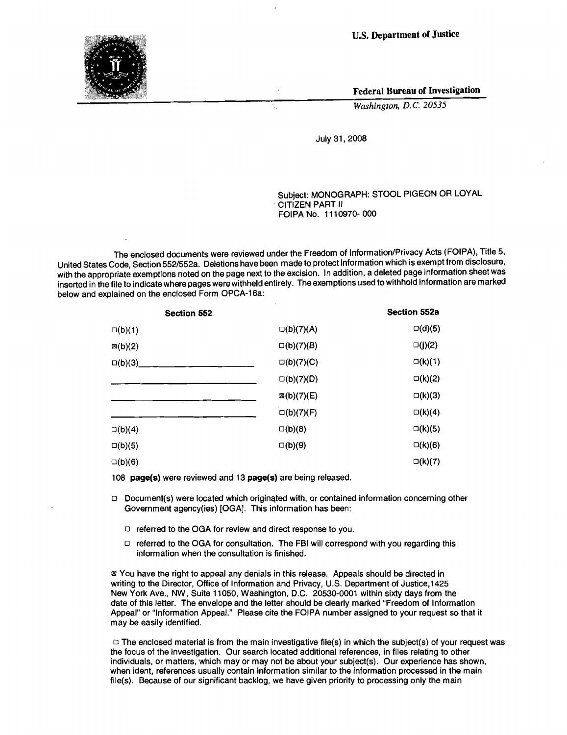U.S. Department of Justice



Federal Bureau of Investigation

*Washington,* D. C. *20535*

July 31,2008

Subject: MONOGRAPH: STOOL PIGEON OR LOYAL **CITIZEN PART II** FOIPA No. 1110970- 000

The enclosed documents were reviewed under the Freedom of Information/Privacy Acts (FOIPA), Title 5, United States Code, Section 5521552a. Deletions have been made to protect information which is exempt from disclosure, with the appropriate exemptions noted on the page next to the excision. In addition, a deleted page information sheet was inserted in the file to indicate where pages were withheld entirely. The exemptions used to withhold information are marked below and explained on the enclosed Form OPCA-16a:

٠.

| <b>Section 552</b> |                       | <b>Section 552a</b> |
|--------------------|-----------------------|---------------------|
| $\square(b)(1)$    | $\square(b)(7)(A)$    | $\square$ (d)(5)    |
| $\boxtimes(b)(2)$  | $\square(b)(7)(B)$    | $\square(j)(2)$     |
| $\square(b)(3)$    | $\square(b)(7)(C)$    | $\square(k)(1)$     |
|                    | $\square(b)(7)(D)$    | $\square(k)(2)$     |
|                    | $\boxtimes$ (b)(7)(E) | $\square(k)(3)$     |
|                    | $\square(b)(7)(F)$    | $\square(k)(4)$     |
| $\square(b)(4)$    | $\square(b)(8)$       | $\square(k)(5)$     |
| $\square(b)(5)$    | $\square(b)(9)$       | $\square(k)(6)$     |
| $\square(b)(6)$    |                       | $\square(k)(7)$     |

108 page(s) were reviewed and 13 page(s) are being released.

- $\Box$  Document(s) were located which originated with, or contained information concerning other Government agency(ies) [OGA]. This information has been:
	- $\Box$  referred to the OGA for review and direct response to you.
	- $\Box$  referred to the OGA for consultation. The FBI will correspond with you regarding this information when the consultation is finished.

<sup>22</sup> You have the right to appeal any denials in this release. Appeals should be directed in writing to the Director, Office of Information and Privacy, U.S. Department of Justice,1425 New York Ave., NW, Suite 11050, Washington, D.C. 20530-0001 within sixty days from the date of this letter. The envelope and the letter should be clearly marked "Freedom of Information Appeal" or "Information Appeal." Please cite the FOIPA number assigned to your request so that it may be easily identified.

 $\Box$  The enclosed material is from the main investigative file(s) in which the subject(s) of your request was the focus of the investigation. Our search located additional references, in files relating to other individuals, or matters, which may or may not be about your subject(s). Our experience has shown, when ident, references usually contain information similar to the information processed in the main file(s). Because of our significant backlog, we have given priority to processing only the main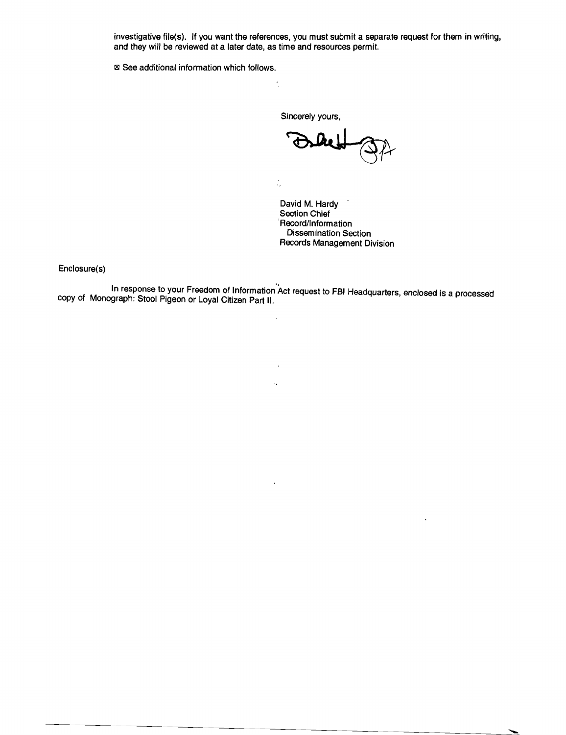investigative file(s). If you want the references, you must submit a separate request for them in writing, and they will be reviewed at a later date, as time and resources permit.

 $\frac{1}{2}$ 

 $\hat{r}_i$ 

<sup>®</sup> See additional information which follows.

Sincerely yours,

David M. Hardy Section Chief Record/Information Dissemination Section Records Management Division

Enclosure(s)

In response to your Freedom of Information Act request to FBI Headquarters, enclosed is a processed copy of Monograph: Stool Pigeon or Loyal Citizen Part II.

l,

 $\overline{a}$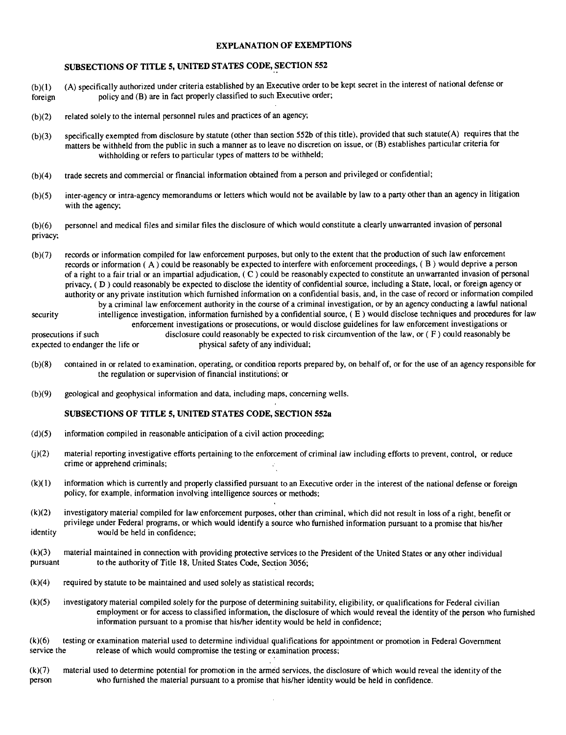#### **EXPLANATION OF EXEMPTIONS**

#### **SUBSECTIONS OF TITLE 5, UNITED STATES CODE, SECTION 552**

- $(b)(1)$ foreign (A) specifically authorized under criteria established by an Executive order to be kept secret in the interest of national defense or policy and (B) are in fact properly classified to such Executive order;
- (b)(2) related solely to the internal personnel rules and practices of an agency;
- (b)(3) specifically exempted from disclosure by statute (other than section 552b of this title), provided that such statute(A) requires that the matters be withheld from the public in such a manner as to leave no discretion on issue, or (B) establishes particular criteria for withholding or refers to particular types of matters to be withheld;
- (b)(4) trade secrets and commercial or financial information obtained from a person and privileged or confidential;
- (b)(5) inter-agency or intra-agency memorandums or letters which would not be available by law to a party other than an agency in litigation with the agency;
- $(b)(6)$ privacy; personnel and medical files and similar files the disclosure of which would constitute a clearly unwarranted invasion of personal
- $(b)(7)$ records or information compiled for law enforcement purposes, but only to the extent that the production of such law enforcement records or information ( $A$ ) could be reasonably be expected to interfere with enforcement proceedings, ( $B$ ) would deprive a person of a right to a fair trial or an impartial adjudication,  $(C)$  could be reasonably expected to constitute an unwarranted invasion of personal privacy, ( D ) could reasonably be expected to disclose the identity of confidential source, including a State, local, or foreign agency or authority or any private institution which furnished information on a confidential basis, and, in the case of record or information compiled by a criminal law enforcement authority in the course of a criminal investigation, or by an agency conducting a lawful national
- security intelligence investigation, information furnished by a confidential source, ( E ) would disclose techniques and procedures for law enforcement investigations or prosecutions, or would disclose guidelines for law enforcement investigations or prosecutions if such disclosure could reasonably be expected to risk circumvention of the law, or (F) could reasonably be expected to endanger the life or bhysical safety of any individual:

expected to endanger the life or

- (b)(8) contained in or related to examination, operating, or condition reports prepared by, on behalf of, or for the use of an agency responsible for the regulation or supervision of financial institutions'; or
- (b)(9) geological and geophysical information and data, including maps, concerning wells.

#### **SUBSECTIONS OF TITLE 5, UNITED STATES CODE, SECTION 5528**

- $(d)(5)$  information compiled in reasonable anticipation of a civil action proceeding;
- $(i)(2)$  material reporting investigative efforts pertaining to the enforcement of criminal law including efforts to prevent, control, or reduce crime or apprehend criminals;
- $(k)(1)$  information which is currently and properly classified pursuant to an Executive order in the interest of the national defense or foreign policy, for example. information involving intelligence sources or methods;
- (k)(2) investigatory material compiled for law enforcement purposes, other than criminal, which did not result in loss of a right, benefit or privilege under Federal programs, or which would identify a source who furnished information pursuant to a promise that his/her identity would be held in confidence;
- $(k)(3)$  material maintained in connection with providing protective services to the President of the United States or any other individual pursuant to the authority of Title 18. United States Code. Section 3056: to the authority of Title 18, United States Code, Section 3056;
- $(k)(4)$  required by statute to be maintained and used solely as statistical records;
- $(k)(5)$  investigatory material compiled solely for the purpose of determining suitability, eligibility, or qualifications for Federal civilian employment or for access to classified information, the disclosure of which would reveal the identity of the person who furnished information pursuant to a promise that his/her identity would be held in confidence;

(k)(6) testing or examination material used to determine individual qualifications for appointment or promotion in Federal Government service the release of which would compromise the testing or examination process;

(k)(7) material used to determine potential for promotion in the armed services, the disclosure of which would reveal the identity of the person who furnished the material pursuant to a promise that his/her identity would be held in confidence.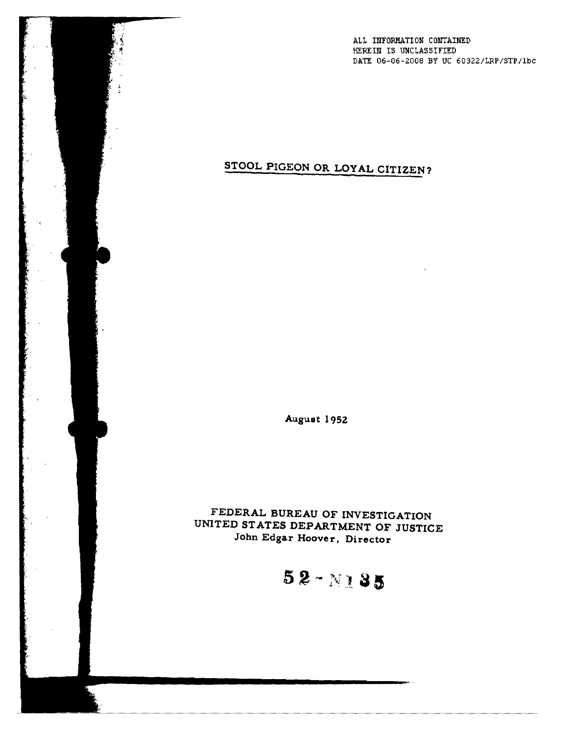ALL INFORMATION CONTAINED HEREIN IS UNCLASSIfIED DATE 06-06-2008 BY UC 60322/LRP/5TP/lbc

## **STOOL PIGEON OR LOYAL CITIZEN?**

**August 1952** 

**FEDERAL BUREAU OF INVESTIGATION UNITED STATES DEPARTMENT OF JUSTICE John Edgar Hoover) Director** 

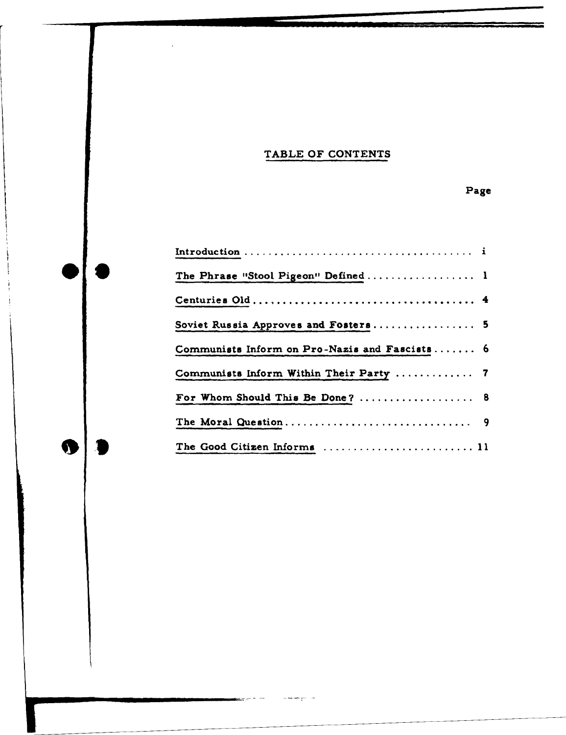#### TABLE OF CONTENTS

#### Page

| The Phrase "Stool Pigeon" Defined 1           |
|-----------------------------------------------|
|                                               |
| Soviet Russia Approves and Fosters 5          |
| Communists Inform on Pro-Nazis and Fascists 6 |
| Communists Inform Within Their Party  7       |
|                                               |
|                                               |
| The Good Citizen Informs  11                  |

 $\sim$  -mass  $\sim$ 

 $\sim$ 

i.

e

 $\bullet$ 

----------"..

r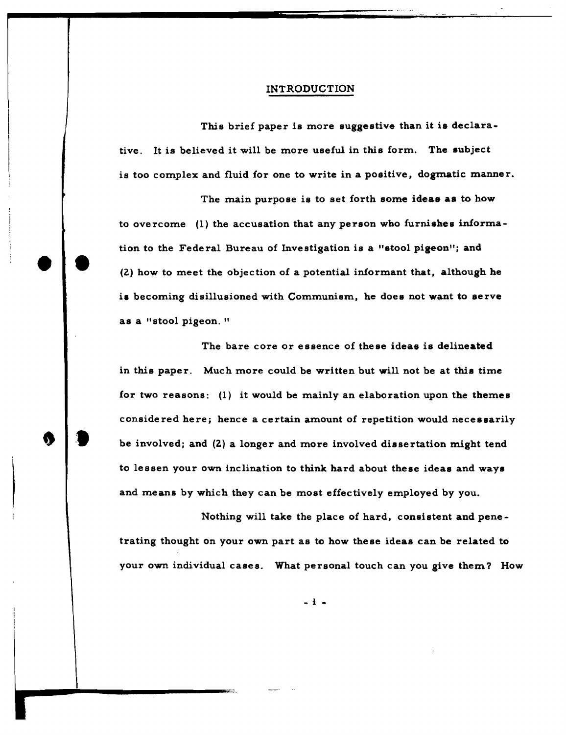#### INTRODUCTION

This brief paper is more suggestive than it is declarative. It is believed it will be more useful in this form. The subject is too complex and fluid for one to write in a positive, dogmatic manner.

The main purpose is to set forth some ideas as to how to overcome (1) the accusation that any person who furnishes information to the Federal Bureau of Investigation is a "stool pigeon"; and (Z) how to meet the objection of a potential informant that, although he is becoming disillusioned with Communism, he does not want to serve as a "stool pigeon."

The bare core or essence of these ideas is delineated in this paper. Much more could be written but will not be at this time for two reasons: (1) it would be mainly an elaboration upon the themes considered here; hence a certain amount of repetition would necessarily be involved; and (Z) a longer and more involved dissertation might tend to lessen your own inclination to think hard about these ideas and ways and means by which they can be most effectively employed by you.

 $\bullet$ 

-\_....\_-----....,

Nothing will take the place of hard, consistent and penetrating thought on your own part as to how these ideas can be related to your own individual cases. What personal touch can you give them? How

- i

..,.•.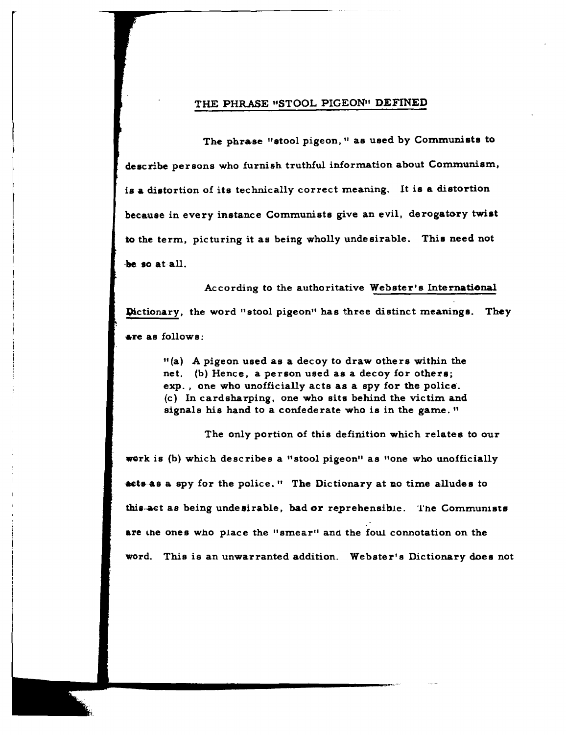#### THE PHRASE "STOOL PIGEON" DEFINED

The phrase "stool pigeon," as used by Communists to describe persons who furnish truthful information about Communism, is a distortion of its technically correct meaning. It is a distortion because in every instance Communists give an evil, derogatory twist to the term. picturing it as being wholly undesirable. This need not -'he so at all.

According to the authoritative Webster's International Dictionary, the word "stool pigeon" has three distinct meanings. They  $are$  as follows:

 $''(a)$  A pigeon used as a decoy to draw others within the net. (b) Hence, a person used as a decoy for others; exp., one who unofficially acts as a spy for the police. (c) In cardsharping. one who sits behind the victim and signals his hand to a confederate who is in the game. "

The only portion of this definition which relates to our work is (b) which describes a "stool pigeon" as "one who unofficially acts as a spy for the police." The Dictionary at no time alludes to this act as being undesirable, bad or reprehensible. The Communists are the ones who place the "smear" and the foul connotation on the word. This is an unwarranted addition. Webster's Dictionary does not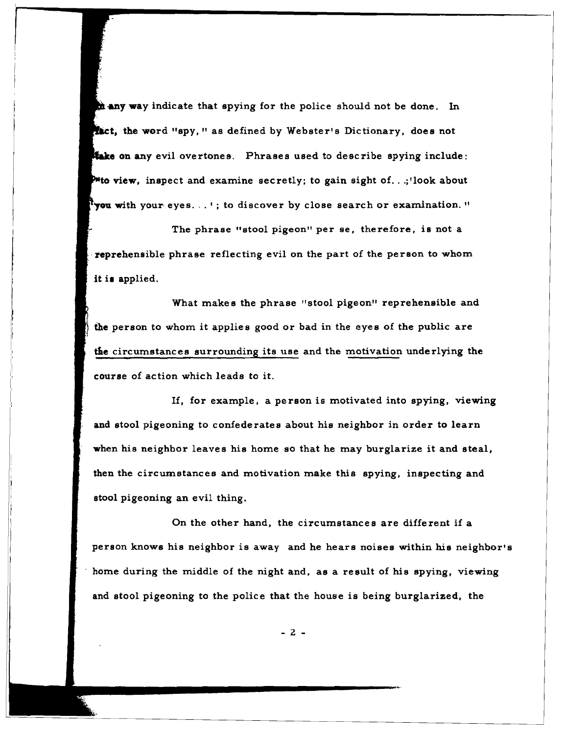**h** any way indicate that spying for the police should not be done. In that, the word "spy," as defined by Webster's Dictionary, does not take on any evil overtones. Phrases used to describe spying include: P<sup>u</sup>to view, inspect and examine secretly; to gain sight of...;'look about **Pyou with your eyes...'; to discover by close search or examination.**"

it is applied. The phrase "stool pigeon" per se, therefore, is not a reprehensible phrase reflecting evil on the part of the person to whom

What makes the phrase "stool pigeon" reprehensible and the person to whom it applies good or bad in the eyes of the public are tie circumstances surrounding its use and the motivation underlying the course of action which leads to it.

If, for example, a person is motivated into spying, viewing and stool pigeoning to confederates about his neighbor in order to learn when his neighbor leaves his home so that he may burglarize it and steal, then the circumstances and motivation make this spying, inspecting and stool pigeoning an evil thing.

On the other hand, the circumstances are different if <sup>a</sup> person knows his neighbor is away and he hears noises within his neighbor's home during the middle of the night and, as a result of his spying, viewing and stool pigeoning to the police that the house is being burglarized, the

 $- 2 -$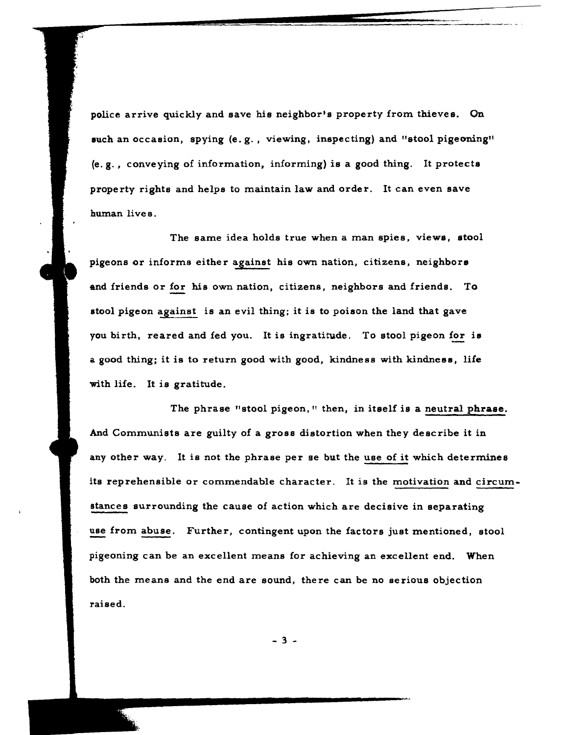police arrive quickly and save his neighbor's property from thieves. On such an occasion, spying (e.g., viewing, inspecting) and "stool pigeoning" (e. g., conveying of information. informing) is a good thing. It protects property rights and helps to maintain law and order. It can even save human Iive s.

The same idea holds true when a man spies, views, stool pigeons or informs either against his own nation, citizens, neighbors and friends or for his own nation, citizens, neighbors and friends. To 8tool pigeon against is an evil thing; it is to poison the land that gave you birth, reared and fed you. It is ingratitude. To stool pigeon for is a good thing; it is to return good with good, kindness with kindness, life with life. It is gratitude.

The phrase "stool pigeon," then, in itself is a neutral phrase. And Communists are guilty of a gross distortion when they describe it in any other way. It is not the phrase per se but the use of it which determines its reprehensible or commendable character. It is the motivation and circumstances surrounding the cause of action which are decisive in separating use from abuse. Further, contingent upon the factors just mentioned, stool pigeoning can be an excellent means for achieving an excellent end. When both the means and the end are sound, there can be no serious objection raised.

 $-3 -$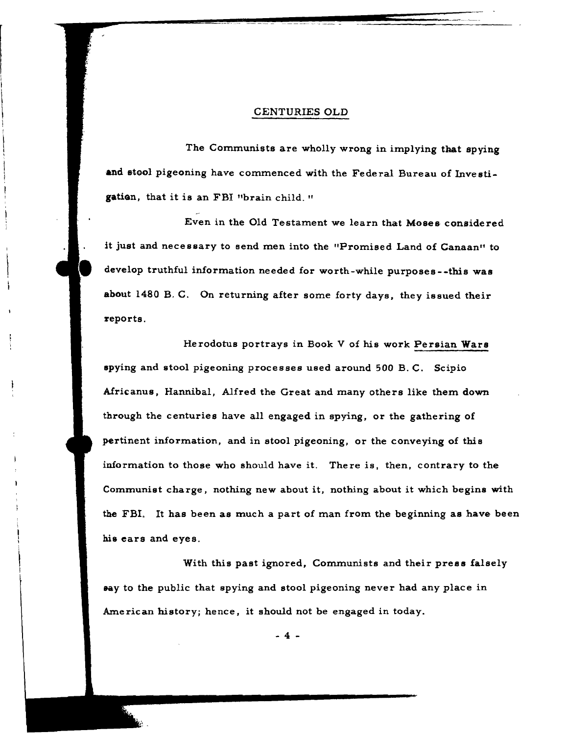# I CENTURIES OLD

I í I

\

The Communists are wholly wrong in implying that spying **and** stool pigeoning have commenced with the Federal Bureau of Investigatien, that it is an FBI "brain child. "

Even in the Old Testament we learn that Moses considered it just and necessary to send men into the "Promised Land of Canaan" to develop truthful information needed for worth-while purposes--this was about 1480 B. C. On returning after some forty days, they issued their reports.

Herodotus portrays in Book V of his work Persian Wars spying and stool pigeoning processes used around 500 B. C. Scipio Africanus, Hannibal, Alfred the Great and many others like them down through the centuries have all engaged in spying, or the gathering of pertinent information, and in stool pigeoning, or the conveying of this information to those who should have it. There is, then, contrary to the Communist charge, nothing new about it, nothing about it which begins with the FBI. It has been as much a part of man from the beginning as have been his ears and eyes.

With this past ignored, Communists and their press falsely eay to the public that spying and stool pigeoning never had any place in American history; hence, it should not be engaged in today.

 $-4 -$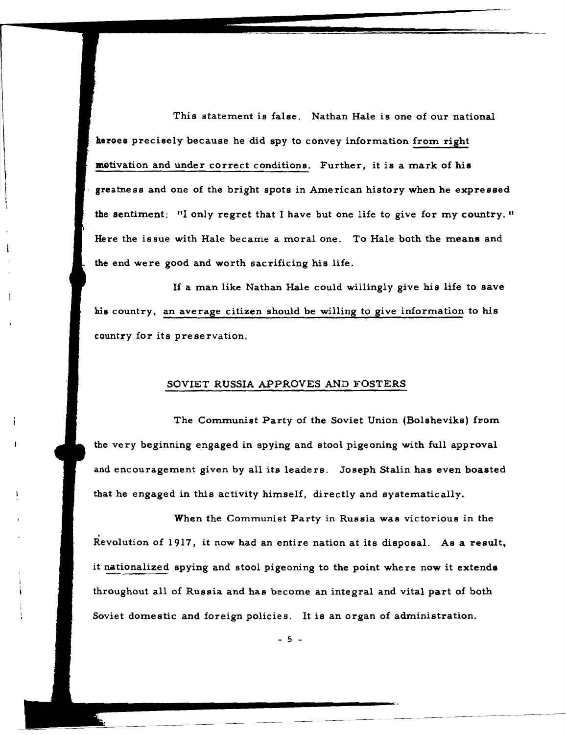This statement is false. Nathan Hale is one of our national motivation and under correct conditions. Further, it is a mark of his heroes precisely because he did spy to convey information from right greatness and one of the bright spots in American history when he expressed the sentiment: "I only regret that I have but one life to give for my country." Here the issue with Hale became a moral one. To Hale both the means and the end were good and worth sacrificing his life.

If a man like Nathan Hale could willingly give his life to save his country, an average citizen should be willing to give information to his country for its preservation.

#### SOVIET RUSSIA APPROVES AND FOSTERS

The Communist Party of the Soviet Union (Bolsheviks) from the very beginning engaged in spying and stool pigeoning with full approval and encouragement given by all its leaders. Joseph Stalin has even boasted that he engaged in this activity himself, directly and systematically.

When the Communist Party in Russia was victorious in the Revolution of 1917. it now had an entire nation at its disposal. As a result, it nationalized spying and stool pigeoning to the point where now it extends throughout all of Russia and has become an integral and vital part of both Soviet domestic and foreign policies. It is an organ of administration.

 $-5 -$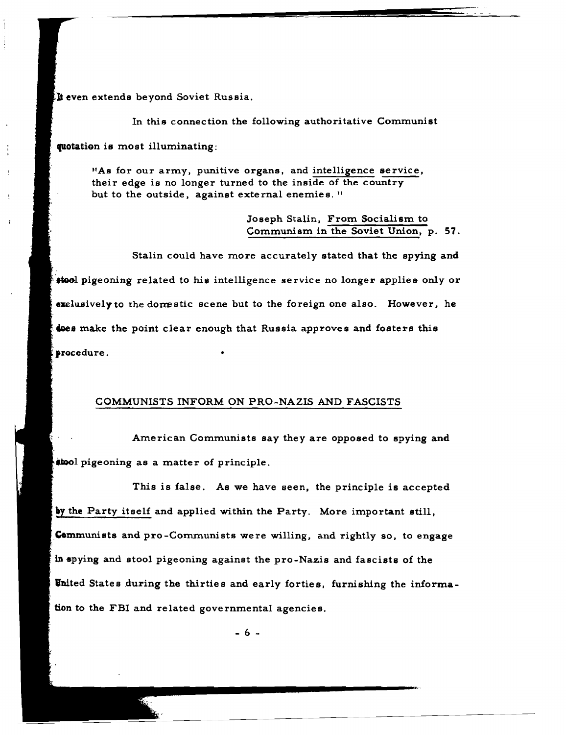It even extends beyond Soviet Russia.

In this connection the following authoritative Communist quotatien is most illuminating:

HAs for our army, punitive organs, and intelligence service, their edge is no longer turned to the inside of the country but to the outside, against external enemies."

> Joseph Stalin, From Socialism to Communism in the Soviet Union, p. 57.

Stalin could have more accurately stated that the spying and .~·ttool pigeoning related to his intelligence service no longer applies only or exclusively to the domestic scene but to the foreign one also. However, he does make the point clear enough that Russia approves and fosters this procedure. •

#### COMMUNISTS INFORM ON PRO-NAZIS AND FASCISTS

American Communists say they are opposed to spying and itool pigeoning as a matter of principle.

This is false. As we have seen, the principle is accepted by the Party itself and applied within the Party. More important still, **Communists and pro-Communists were willing, and rightly so, to engage** in spying and stool pigeoning against the pro-Nazis and fascists of the United States during the thirties and early forties, furnishing the information to the FBI and related governmental agencies.

 $- 6 -$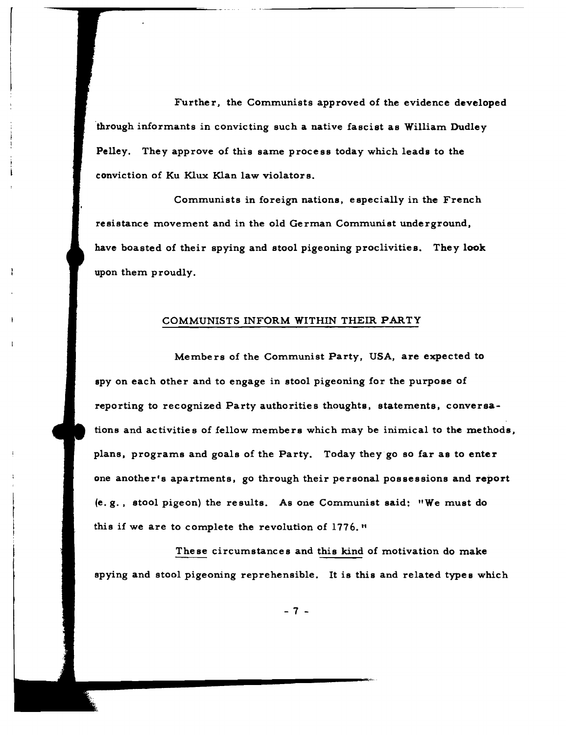Further, the Communists approved of the evidence developed 'through informants in convicting such a native fascist as William Dudley Pelley. They approve of this same process today which leads to the conviction of Ku Klux Klan law violators.

 $\begin{bmatrix} \phantom{-} \end{bmatrix}$ 

------------------\_...\_-

Communists in foreign nations, especially in the French resistance movement and in the old German Communist underground, have boasted of their spying and stool pigeoning proclivities. They look upon them proudly.

#### COMMUNISTS INFORM WITHIN THEIR PARTY

Members of the Communist Party, USA, are expected to spy on each other and to engage in stool pigeoning for the purpose of reporting to recognized Party authorities thoughts, statements, conversations and activitie s of fellow members which may be inimical to the methods, plans, programs and goals of the Party. Today they go so far as to enter one another's apartments, go through their personal possessions and report (e.g., stool pigeon) the results. As one Communist said: "We must do this if we are to complete the revolution of 1776."

These circumstances and this kind of motivation do make spying and stool pigeoning reprehensible. It is this and related types which

 $-7 -$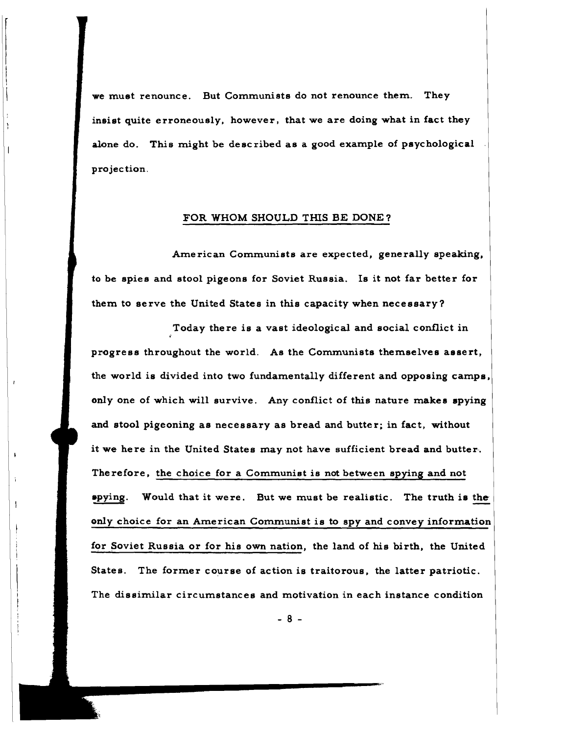we must renounce. But Communists do not renounce them. They insist quite erroneously. however, that we are doing what in fact they alone do. This might be described as a good example of psychological projection.

#### FOR WHOM SHOULD THIS BE DONE?

American Communists are expected, generally speaking, to be spies and stool pigeons for Soviet Russia. Is it not far better for them to serve the United States in this capacity when necessary?

Today there is a vast ideological and social conflict in progress throughout the world. As the Communists themselves assert, the world is divided into two fundamentally different and opposing camps, only one of which will survive. Any conflict of this nature makes spying and stool pigeoning as necessary as bread and butter; in fact. without it we here in the United States may not have sufficient bread and butter. Therefore, the choice for a Communist is not between spying and not spying. Would that it were. But we must be realistic. The truth is theonly choice for an American Communist is to spy and convey information for Soviet Russia or for his own nation, the land of his birth, the United States. The former course of action is traitorous. the latter patriotic. The dissimilar circumstances and motivation in each instance condition

 $\mathbf{r}$ 

 $- 8 -$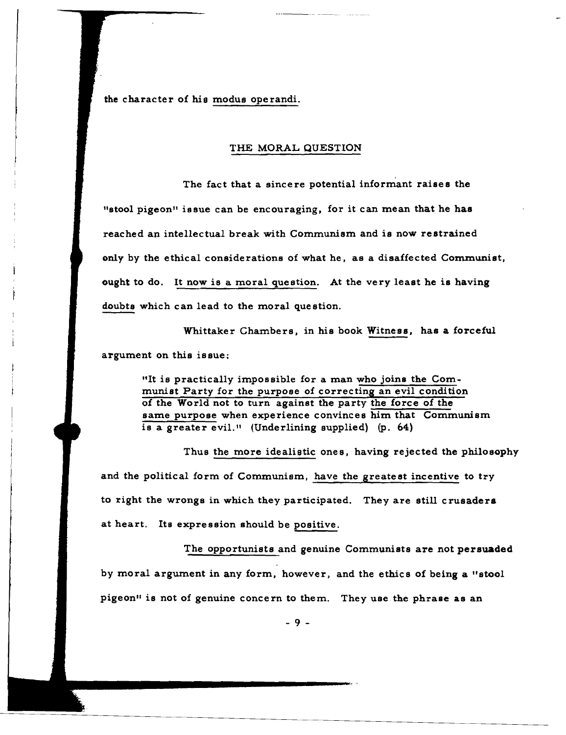the character of his modus operandi.

#### THE MORAL QUESTION

The fact that a sincere potential informant raises the "stool pigeon" issue can be encouraging, for it can mean that he has reached an intellectual break with Communism and is now restrained only by the ethical considerations of what he, as a disaffected Communist, ought to do. It now is a moral question. At the very least he is having doubts which can lead to the moral question.

Whittaker Chambers, in his book Witness, has a forceful argument on this issue;

''It is practically impossible for a man who joins the Communist Party for the purpose of correcting an evil condition of the World not to turn against the party the force of the same purpose when experience convinces him that Communism is a greater evil." (Underlining supplied)  $(p. 64)$ 

Thus the more idealistic ones. having rejected the philosophy and the political form of Communism. have the greatest incentive to try to right the wrongs in which they participated. They are still crusaders at heart. Its expression should be positive.

The opportunists and genuine Communists are not persuaded by moral argument in any form, however, and the ethics of being a "stool pigeon" is not of genuine concern to them. They use the phrase as an

 $-9 -$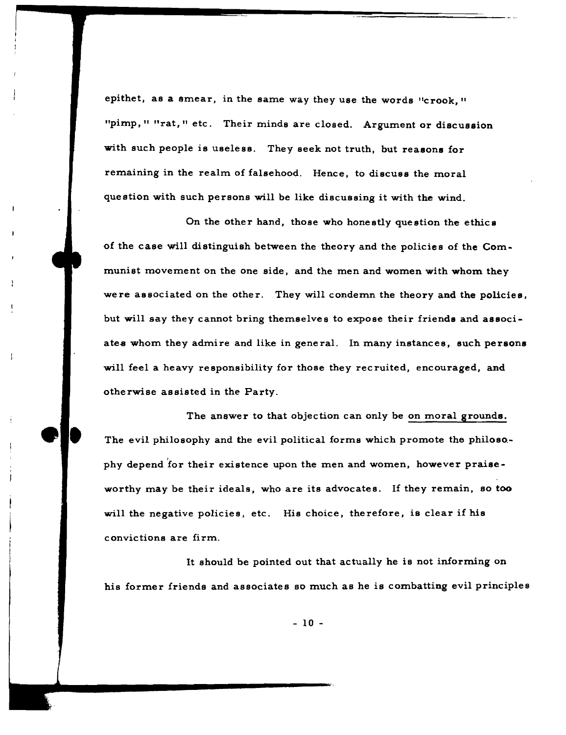epithet, as a smear, in the same way they use the words "crook," "pimp, " "rat, " etc. Their minds are closed. Argument or discussion with such people is useless. They seek not truth, but reasons for remaining in the realm of falsehood. Hence. to discuss the moral question with such persons will be like discussing it with the wind.

On the other hand, those who honestly question the ethics of the case will distinguish between the theory and the policies of the Communist movement on the one side, and the men and women with whom they were associated on the other. They will condemn the theory and the policies, but will say they cannot bring themselves to expose their friends and associates whom they admire and like in general. In many instances, such persons will feel a heavy responsibility for those they recruited, encouraged, and otherwise assisted in the Party.

The answer to that objection can only be on moral grounds. The evil philosophy and the evil political forms which promote the philoso. phy depend 'for their existence upon the men and women, however praiseworthy may be their ideals, who are its advocates. If they remain. so too will the negative policies, etc. His choice, therefore, is clear if his convictions are firm.

**--**

It should be pointed out that actually he is not informing on his former friends and associates so much as he is combatting evil principles

 $-10 -$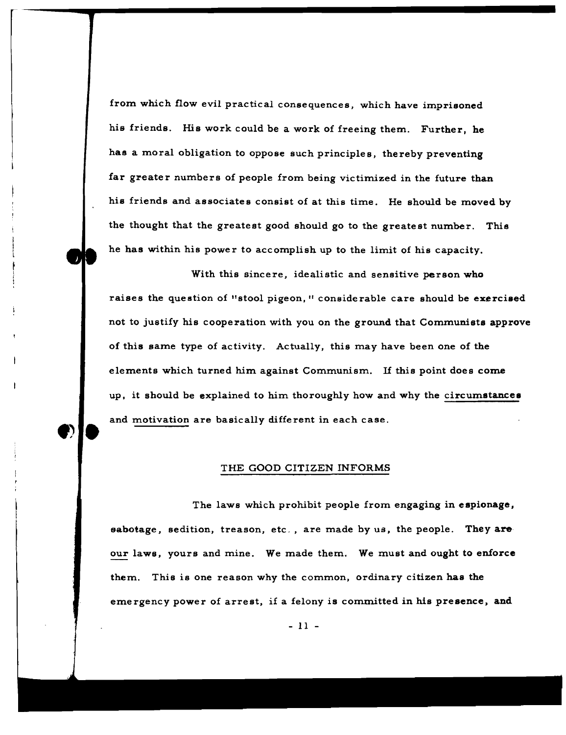from which flow evil practical consequences, which have imprisoned his friends. His work could be a work of freeing them. Further, he has a moral obligation to oppose such principles, thereby preventing far greater numbers of people from being victimized in the future than his friends and associates consist of at this time. He should be moved by the thought that the greatest good should go to the greatest number. This he has within his power to accomplish up to the limit of his capacity.

With this sincere, idealistic and sensitive person who raises the question of "stool pigeon," considerable care should be exercised not to justify his cooperation with you on the ground that Communists approve of this same type of activity. Actually, this may have been one of the elements which turned him against Communism. If this point does come up, it should be explained to him thoroughly how and why the circumstances and motivation are basically different in each case.

#### THE GOOD CITIZEN INFORMS

The laws which prohibit people from engaging in espionage, sabotage, sedition, treason, etc., are made by us, the people. They are our laws, yours and mine. We made them. We must and ought to enforce them. This is one reason why the common, ordinary citizen has the emergency power of arrest, if a felony is committed in his presence, and

- 11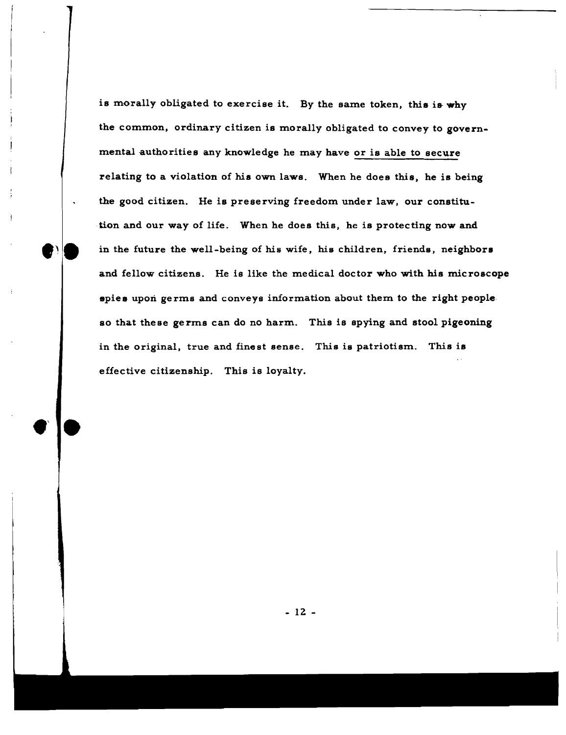is morally obligated to exercise it. By the same token, this is why the common, ordinary citizen is morally obligated to convey to governmental authorities any knowledge he may have or is able to secure relating to a violation of his own laws. When he does this, he is being the good citizen. He is preserving freedom under law, our constitution and our way of life. When he does this, he is protecting now and in the future the well-being of his wife, his children, friends, neighbors and fellow citizens. He is like the medical doctor who with his microscope spies upon germs and conveys information about them to the right people. so that these germs can do no harm. This is spying and stool pigeoning in the original, true and finest sense. This is patriotism.. This is effective citizenship. This is loyalty.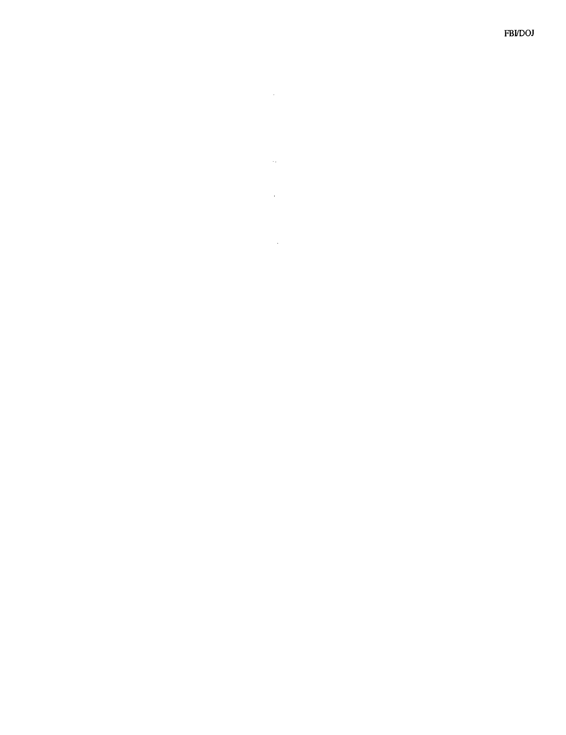$\mathcal{L}^{\text{max}}_{\text{max}}$  and  $\mathcal{L}^{\text{max}}_{\text{max}}$ 

 $\label{eq:2.1} \frac{1}{2} \int_{\mathbb{R}^3} \frac{1}{\sqrt{2}} \, \frac{1}{\sqrt{2}} \, \frac{1}{\sqrt{2}} \, \frac{1}{\sqrt{2}} \, \frac{1}{\sqrt{2}} \, \frac{1}{\sqrt{2}} \, \frac{1}{\sqrt{2}} \, \frac{1}{\sqrt{2}} \, \frac{1}{\sqrt{2}} \, \frac{1}{\sqrt{2}} \, \frac{1}{\sqrt{2}} \, \frac{1}{\sqrt{2}} \, \frac{1}{\sqrt{2}} \, \frac{1}{\sqrt{2}} \, \frac{1}{\sqrt{2}} \, \frac{1}{\sqrt{2}} \,$ 

 $\mathcal{L}^{\text{max}}_{\text{max}}$  $\mathcal{L}^{\text{max}}_{\text{max}}$  , where  $\mathcal{L}^{\text{max}}_{\text{max}}$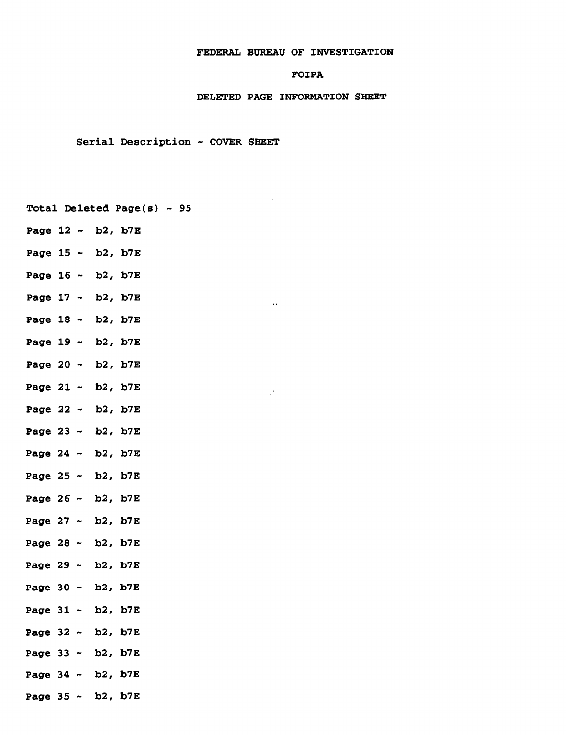#### FEDERAL BUREAU OF INVESTIGATION

#### FOIPA

DELETED PAGE INFORMATION SHEET

 $\mathcal{N}$ 

Serial Description ~ COVER SHEET

- Total Deleted Page(s)  $\sim$  95
- Page  $12 b2$ ,  $b7E$
- Page  $15 b2$ ,  $b7E$
- Page  $16 b2$ , b7E
- Page 17 b2, b7E
- Page  $18 b2$ ,  $b7E$
- Page  $19 b2$ ,  $b7E$
- Page  $20 b2$ , b7E
- Page  $21 b2$ , b7E
- Page 22 b2, b7E
- Page 23 b2, b7E
- Page 24 b2, b7E
- Page  $25 b2$ , b7E
- Page  $26 \sim b2$ ,  $b7E$
- Page 27 b2, b7E
- Page  $28 \sim b2$ ,  $b7E$
- Page  $29 \sim b2$ ,  $b7E$
- Page  $30 b2$ ,  $b7E$
- Page  $31 b2$ , b7E
- Page  $32 \sim b2$ ,  $b7E$
- Page  $33 \sim b2$ ,  $b7E$
- Page  $34 \sim b2$ ,  $b7E$
- Page  $35 \sim b2$ ,  $b7E$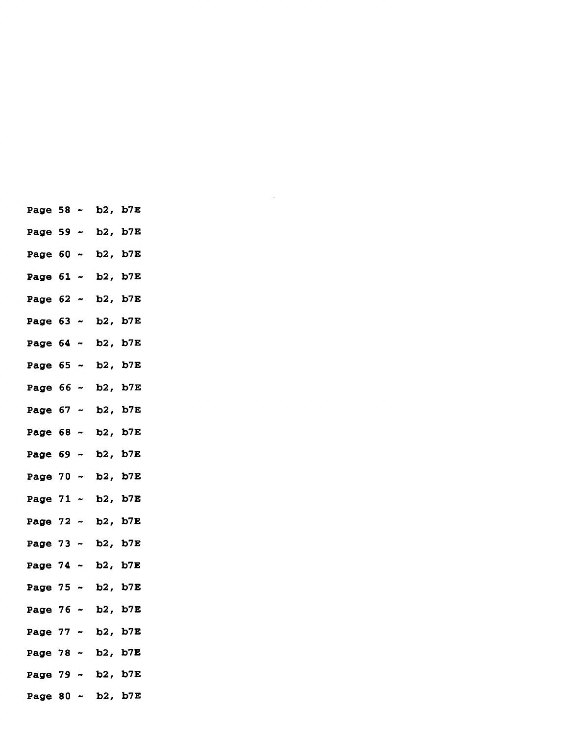| Page    | 58 | $\rightarrow$         | b2,        | b7E        |
|---------|----|-----------------------|------------|------------|
| Page    | 59 | $\ddot{\phantom{0}}$  | Ъ2,        | b7E        |
| Page 60 |    | $\tilde{\phantom{a}}$ | b2,        | b7E        |
| Page 61 |    |                       | Ъ2,        | b7E        |
| Page 62 |    |                       | b2,        | b7E        |
| Page 63 |    |                       | <b>b2,</b> | b7E        |
| Page 64 |    |                       | b2,        | b7E        |
| Page 65 |    |                       | b2,        | <b>b7E</b> |
| Page 66 |    | $\ddot{ }$            | b2,        | b7E        |
| Page 67 |    |                       | b2,        | b7E        |
| Page 68 |    |                       | b2,        | b7E        |
| Page 69 |    |                       | b2,        | b7E        |
| Page    | 70 | $\rightarrow$         | b2,        | b7E        |
| Page    | 71 | $\ddot{\phantom{0}}$  | b2,        | b7E        |
| Page    | 72 |                       | b2,        | b7E        |
| Page    | 73 |                       | b2,        | b7E        |
| Page    | 74 | $\rightarrow$         | b2,        | b7E        |
| Page    | 75 |                       | b2,        | <b>b7E</b> |
| Page    | 76 |                       | Ъ2,        | b7E        |
| Page    | 77 |                       | <b>b2,</b> | <b>b7E</b> |
| Page    | 78 |                       | b2,        | b7E        |
| Page    | 79 |                       | b2,        | b7E        |

 $\mathcal{L}^{\text{max}}_{\text{max}}$  and  $\mathcal{L}^{\text{max}}_{\text{max}}$ 

Page 80 ~ b2, b7E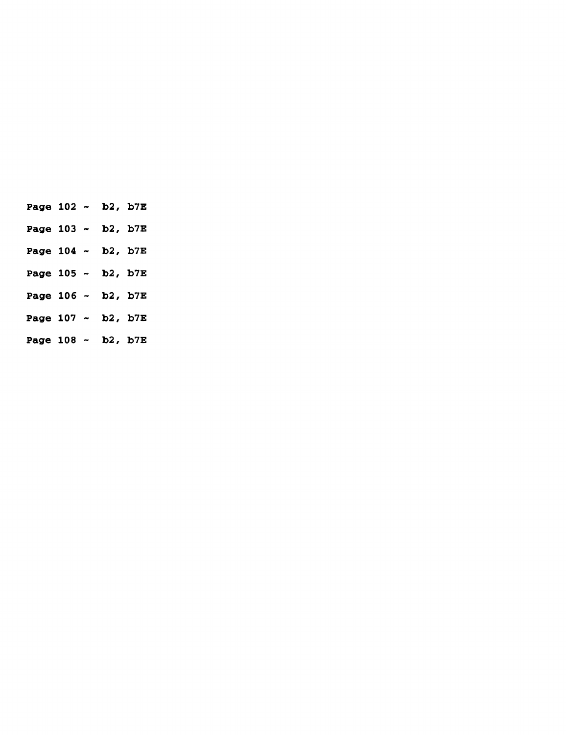Page 102 ~ b2, b7E Page 103 ~ b2, b7E Page  $104 - b2$ , b7E Page 105 ~ b2, b7E Page 106 ~ b2, b7E Page 107 ~ b2, b7E Page 108 ~ b2, b7E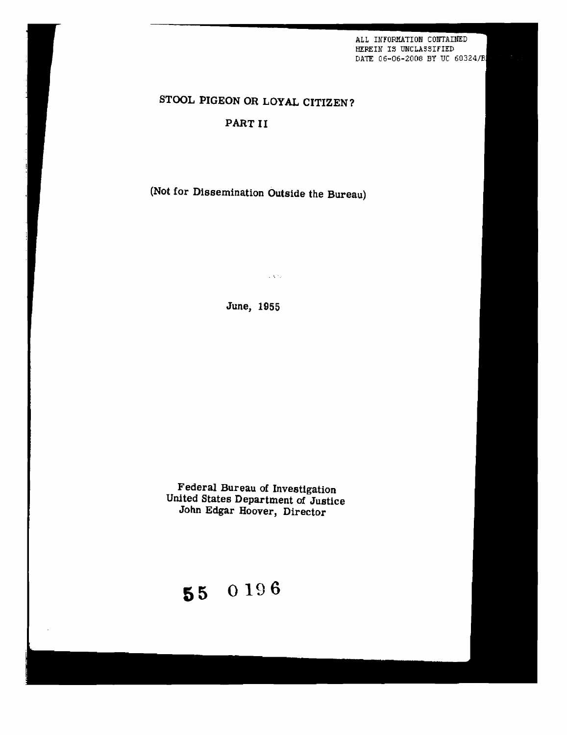ALL INFORMATION CONTAINED HEREIN IS UNCLASSIfIED DATE 06-06-2008 BY UC 60324/B

### **STOOL PIGEON OR LOYAL CITIZEN? PART II**

**(Not for Dissemination Outside the Bureau)** 

**June, 1955** 

 $\sim 3.22$ 

**Federal Bureau of Investigation United States Department of Justice** John Edgar Hoover, Director

## **55 0196**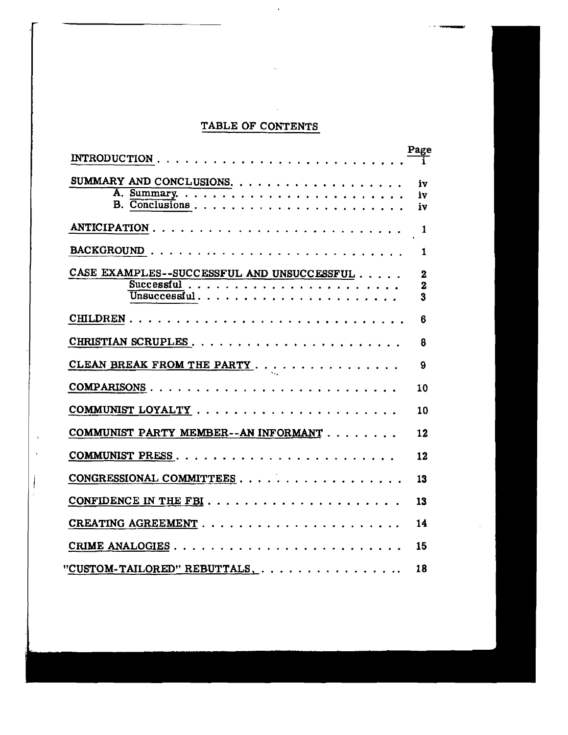#### TABLE OF CONTENTS

 $\hat{\mathbf{v}}$ 

 $\ddot{\phantom{a}}$ 

... '~

| INTRODUCTION $\ldots \ldots \ldots \ldots \ldots$ | Page                              |
|---------------------------------------------------|-----------------------------------|
| SUMMARY AND CONCLUSIONS.                          | iv<br>iv<br>iv                    |
|                                                   | ı                                 |
|                                                   | 1                                 |
| CASE EXAMPLES--SUCCESSFUL AND UNSUCCESSFUL        | $\overline{\mathbf{2}}$<br>2<br>3 |
|                                                   | В                                 |
|                                                   | 8                                 |
| CLEAN BREAK FROM THE PARTY                        | 9                                 |
| COMPARISONS                                       | 10                                |
|                                                   | 10                                |
| COMMUNIST PARTY MEMBER--AN INFORMANT              | 12                                |
| COMMUNIST PRESS                                   | 12                                |
| CONGRESSIONAL COMMITTEES                          | 13                                |
| CONFIDENCE IN THE FBI $\ldots$                    | 13                                |
|                                                   | 14                                |
| CRIME ANALOGIES                                   | 15                                |
| "CUSTOM-TAILORED" REBUTTALS,                      | 18                                |

 $\bar{t}$  $\overline{\phantom{a}}$ 

 $\frac{1}{2}$  $\overline{1}$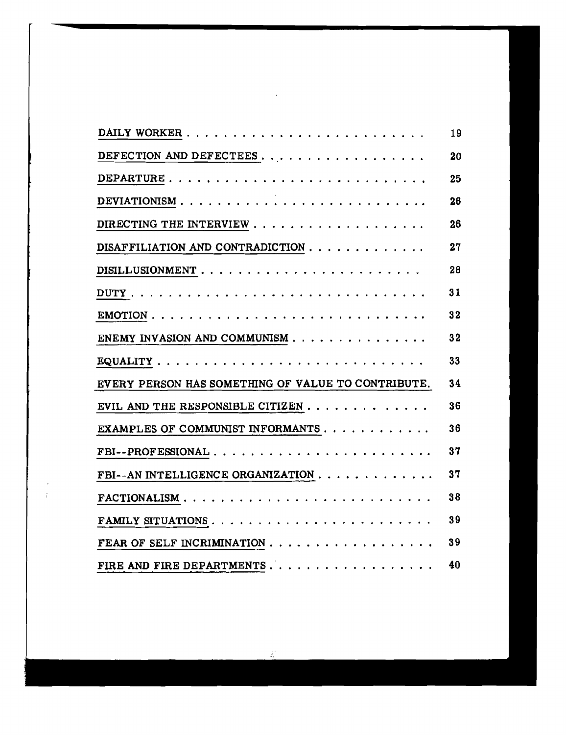| DAILY WORKER                                       | 19 |
|----------------------------------------------------|----|
| DEFECTION AND DEFECTEES                            | 20 |
|                                                    | 25 |
| DEVIATIONISM                                       | 26 |
|                                                    | 26 |
| DISAFFILIATION AND CONTRADICTION                   | 27 |
| DISILLUSIONMENT                                    | 28 |
|                                                    | 31 |
| $EMOTION$                                          | 32 |
| ENEMY INVASION AND COMMUNISM                       | 32 |
| EQUALITY                                           | 33 |
| EVERY PERSON HAS SOMETHING OF VALUE TO CONTRIBUTE. | 34 |
| EVIL AND THE RESPONSIBLE CITIZEN                   | 36 |
| EXAMPLES OF COMMUNIST INFORMANTS                   | 36 |
| FBI--PROFESSIONAL                                  | 37 |
| FBI--AN INTELLIGENCE ORGANIZATION                  | 37 |
|                                                    | 38 |
|                                                    | 39 |
| FEAR OF SELF INCRIMINATION                         | 39 |
| FIRE AND FIRE DEPARTMENTS                          | 40 |

 $\label{eq:2.1} \frac{1}{2} \int_{\mathbb{R}^3} \frac{1}{\sqrt{2}} \, \frac{1}{\sqrt{2}} \, \frac{1}{\sqrt{2}} \, \frac{1}{\sqrt{2}} \, \frac{1}{\sqrt{2}} \, \frac{1}{\sqrt{2}} \, \frac{1}{\sqrt{2}} \, \frac{1}{\sqrt{2}} \, \frac{1}{\sqrt{2}} \, \frac{1}{\sqrt{2}} \, \frac{1}{\sqrt{2}} \, \frac{1}{\sqrt{2}} \, \frac{1}{\sqrt{2}} \, \frac{1}{\sqrt{2}} \, \frac{1}{\sqrt{2}} \, \frac{1}{\sqrt{2}} \,$ 

 $\hat{L}^{\prime}$ 

 $\hat{\boldsymbol{\theta}}$  $\hat{\tau}$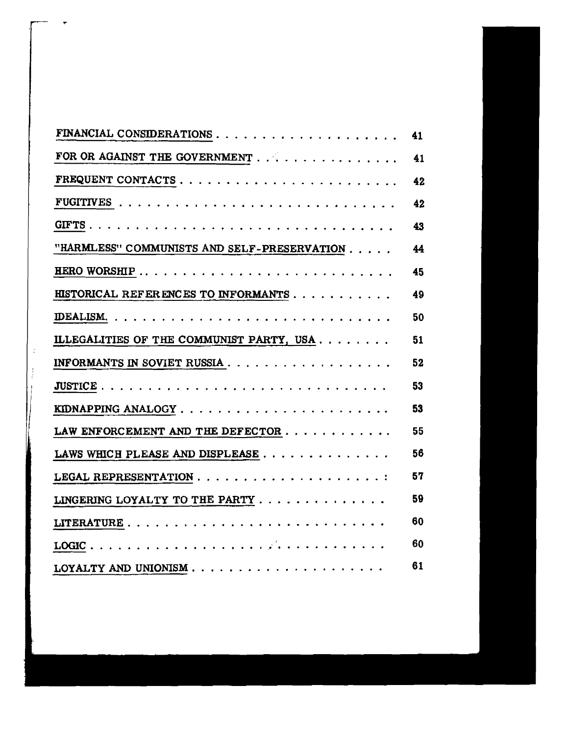|                                             | 41 |
|---------------------------------------------|----|
| FOR OR AGAINST THE GOVERNMENT               | 41 |
|                                             | 42 |
|                                             | 42 |
|                                             | 43 |
| "HARMLESS" COMMUNISTS AND SELF-PRESERVATION | 44 |
|                                             | 45 |
| HISTORICAL REFERENCES TO INFORMANTS         | 49 |
|                                             | 50 |
| ILLEGALITIES OF THE COMMUNIST PARTY, USA    | 51 |
| INFORMANTS IN SOVIET RUSSIA                 | 52 |
|                                             | 53 |
|                                             | 53 |
| LAW ENFORCEMENT AND THE DEFECTOR            | 55 |
| LAWS WHICH PLEASE AND DISPLEASE             | 56 |
|                                             | 57 |
| LINGERING LOYALTY TO THE PARTY              | 59 |
| LITERATURE                                  | 60 |
|                                             | 60 |
| LOYALTY AND UNIONISM                        | 61 |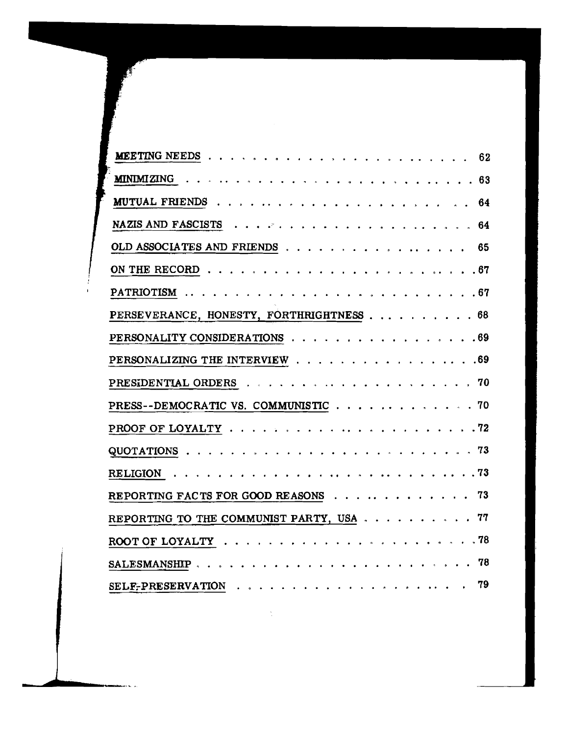| <b>MEETING NEEDS</b><br>62                  |
|---------------------------------------------|
| <b>MINIMIZING</b><br>63                     |
| <b>MUTUAL FRIENDS</b><br>64                 |
| NAZIS AND FASCISTS<br>64                    |
| OLD ASSOCIATES AND FRIENDS<br>65            |
| ON THE RECORD<br>.67                        |
| <b>PATRIOTISM</b><br>. 67                   |
| PERSEVERANCE, HONESTY, FORTHRIGHTNESS<br>68 |
| PERSONALITY CONSIDERATIONS.<br>. 69         |
| .69<br>PERSONALIZING THE INTERVIEW.         |
| 70<br>PRESIDENTIAL ORDERS                   |
| 70<br>PRESS--DEMOCRATIC VS. COMMUNISTIC     |
| 72<br>PROOF OF LOYALTY                      |
| 73<br><b>QUOTATIONS</b>                     |
| 73<br><b>RELIGION</b>                       |
| 73<br>REPORTING FACTS FOR GOOD REASONS      |
| 77<br>REPORTING TO THE COMMUNIST PARTY, USA |
| 78<br>ROOT OF LOYALTY                       |
| 78<br><b>SALESMANSHIP</b>                   |
| 79<br>SELF-PRESERVATION                     |

 $\frac{1}{\sqrt{2}}$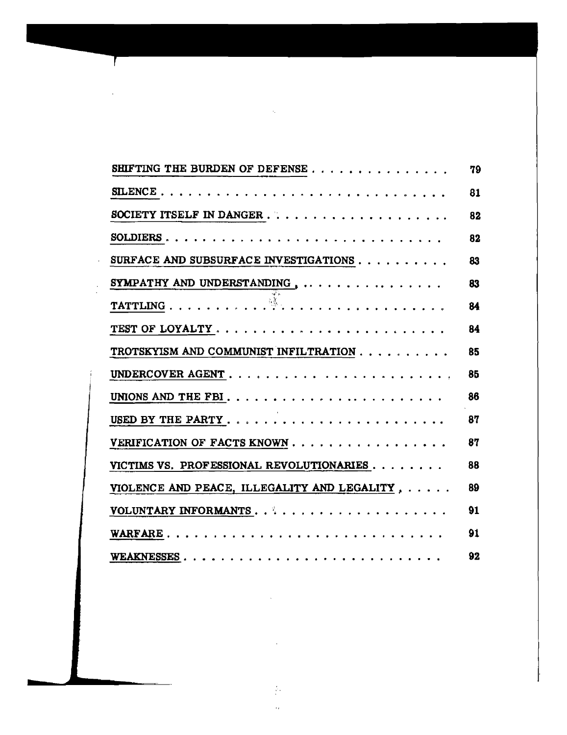| SHIFTING THE BURDEN OF DEFENSE               | 79 |
|----------------------------------------------|----|
|                                              | 81 |
|                                              | 82 |
|                                              | 82 |
| SURFACE AND SUBSURFACE INVESTIGATIONS        | 83 |
| SYMPATHY AND UNDERSTANDING,                  | 83 |
|                                              | 84 |
| TEST OF LOYALTY                              | 84 |
| TROTSKYISM AND COMMUNIST INFILTRATION        | 85 |
|                                              | 85 |
|                                              | 86 |
|                                              | 87 |
| VERIFICATION OF FACTS KNOWN                  | 87 |
| VICTIMS VS. PROFESSIONAL REVOLUTIONARIES     | 88 |
| VIOLENCE AND PEACE, ILLEGALITY AND LEGALITY, | 89 |
| VOLUNTARY INFORMANTS                         | 91 |
|                                              | 91 |
|                                              | 92 |
|                                              |    |

 $\mathcal{L}^{\mathcal{L}}(\mathcal{L}^{\mathcal{L}})$  and  $\mathcal{L}^{\mathcal{L}}(\mathcal{L}^{\mathcal{L}})$  and  $\mathcal{L}^{\mathcal{L}}(\mathcal{L}^{\mathcal{L}})$ 

 $\frac{1}{2} \alpha_{\rm{eff}}$  $\hat{\theta}$ 

 $\label{eq:2.1} \mathcal{L}_{\mathcal{A}}(x) = \mathcal{L}_{\mathcal{A}}(x) \mathcal{L}_{\mathcal{A}}(x) \mathcal{L}_{\mathcal{A}}(x)$ 

 $\label{eq:2} \mathcal{L} = \mathcal{L} \left( \mathcal{L} \right) \left( \mathcal{L} \right) \left( \mathcal{L} \right) \left( \mathcal{L} \right)$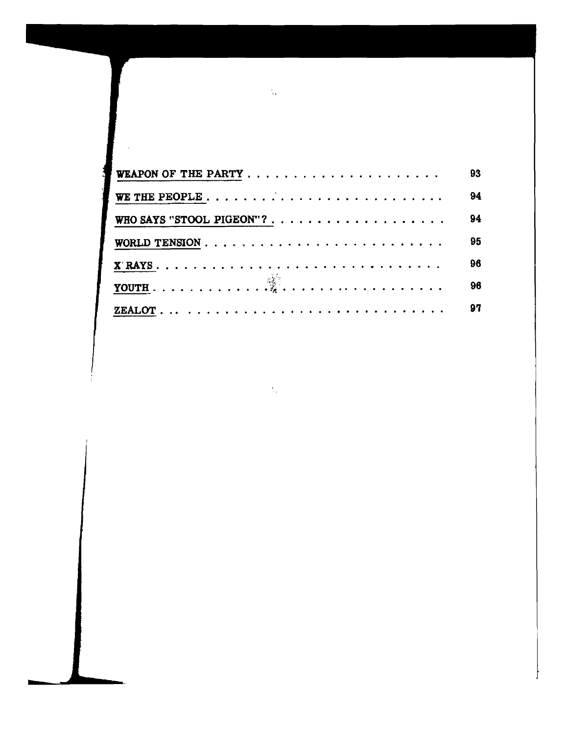|                          | 93 |
|--------------------------|----|
|                          | 94 |
| WHO SAYS "STOOL PIGEON"? | 94 |
|                          | 95 |
|                          | 96 |
|                          | 96 |
|                          | 97 |

k,

 $\frac{1}{2}$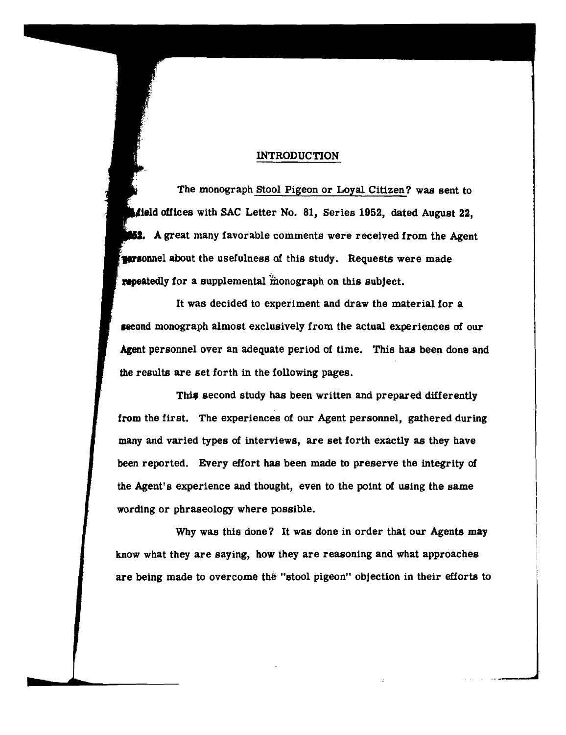#### INTRODUCTION

The monograph stool Pigeon or Loyal Citizen? was sent to **181d offices with SAC Letter No. 81, Series 1952, dated August 22,** 62. A great many favorable comments were received from the Agent **parsonnel about the usefulness of this study. Requests were made** repeatedly for a supplemental monograph on this subject.

It was decided to experiment and draw the material for a second monograph almost exclusively from the actual experiences of our Agent personnel over an adequate period of time. This has been done and the results are set forth in the following pages.

This second study has been written and prepared differently from the first. The experiences of our Agent personnel, gathered during many and varied types of interviews, are set forth exactly as they have been reported. Every effort has been made to preserve the integrity of the Agent's experience and thought, even to the point of using the same wording or phraseology where possible.

Why was this done? It was done in order that our Agents may know what they are saying, how they are reasoning and what approaches are being made to overcome the "stool pigeon" objection in their efforts to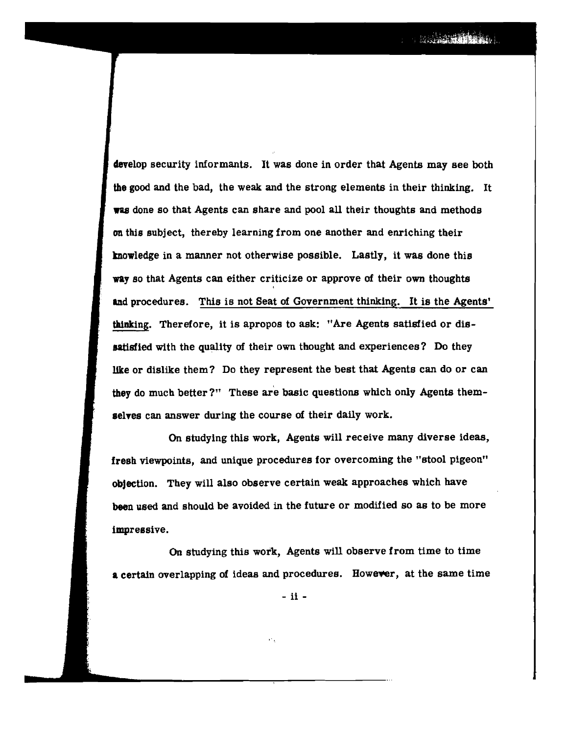develop security informants. It was done in order that Agents may see both the good and the bad, the weak and the strong elements in their thinking. It was done so that Agents can share and pool all their thoughts and methods on this subject, thereby learning from one another and enriching their knowledge in a manner not otherwise possible. Lastly, it was done this way so that Agents can either criticize or approve of their own thoughts and procedures. This is not Seat of Government thinking. It is the Agents' thinking. Therefore, it is apropos to ask: "Are Agents satisfied or dissatisfied with the quality of their own thought and experiences? Do they like or dislike them? Do they represent the best that Agents can do or can they do much better?" These are basic questions which only Agents themselves can answer during the course of their daily work.

On studying this work, Agents will receive many diverse ideas, fresh viewpoints, and unique procedures for overcoming the "stool pigeon" objection. They will also observe certain weak approaches which have been used and should be avoided in the future or modified so as to be more impressive.

On studying this work, Agents will observe from time to time a certain overlapping of ideas and procedures. However, at the same time

- it

'.,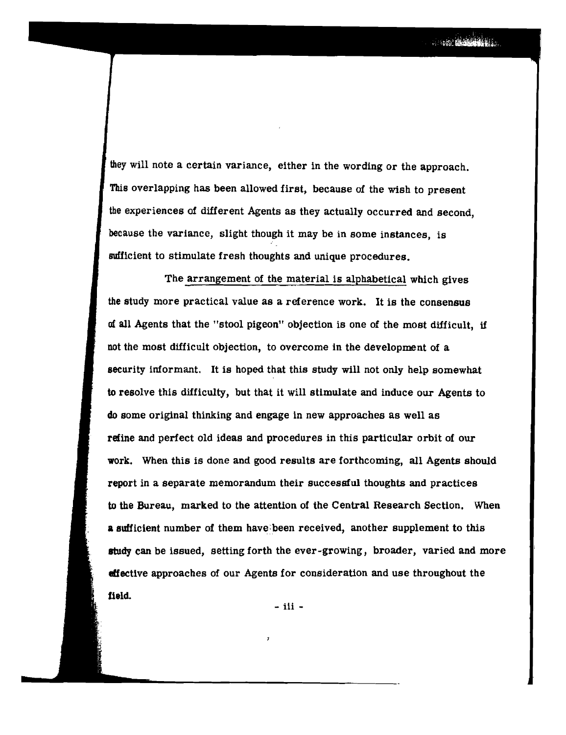they will note a certain variance, either in the wording or the approach. This overlapping has been allowed first, because of the wish to present the experiences of different Agents as they actually occurred and second, because the variance, slight though it may be in some instances. is sufficient to stimulate fresh thoughts and unique procedures.

The arrangement of the material is alphabetical which gives the study more practical value as a reference work. It is the consensus of all Agents that the "stool pigeon" objection is one of the most difficult, if not the most difficult objection, to overcome in the development of a security informant. It is hoped that this study will not only help somewhat to resolve this difficulty, but that it will stimulate and induce our Agents to do some original thinking and engage in new approaches as well as refine and perfect old ideas and procedures in this particular orbit of our work. When this is done and good results are forthcoming, all Agents should report in a separate memorandum their successful thoughts and practices to the Bureau, marked to the attention of the Central Research Section. When a sufficient number of them have;been received, another supplement to this study can be issued, setting forth the ever-growing, broader, varied and more effective approaches of our Agents for consideration and use throughout the field.  $-$  iii  $-$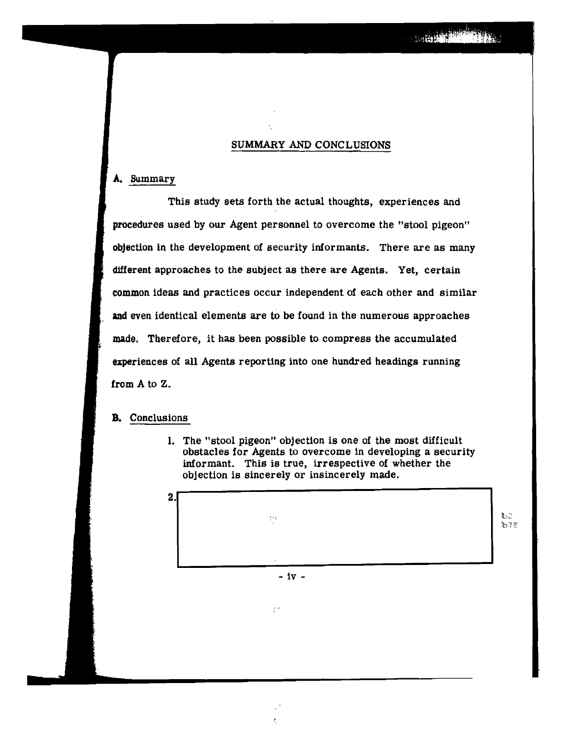#### SUMMARY AND CONCLUSIONS

#### A. Summary

This study sets forth the actual thoughts, experiences and procedures used by our Agent personnel to overcome the "stool pigeon" objection in the development of security informants. There are as many different approaches to the subject as there are Agents. Yet, certain common ideas and practices occur independent of each other and similar and even identical elements are to be found in the numerous approaches made. Therefore, it has been possible to compress the accumulated experiences of all Agents reporting into one hundred headings running from A to Z.

#### B. Conclusions

1. The "stool pigeon" objection is one of the most difficult obstacles for Agents to overcome in developing a security informant. This is true, irrespective of whether the objection is sincerely or insincerely made.



 $-$  iv  $-$ 

 $\mathbb{P}^{\ell}$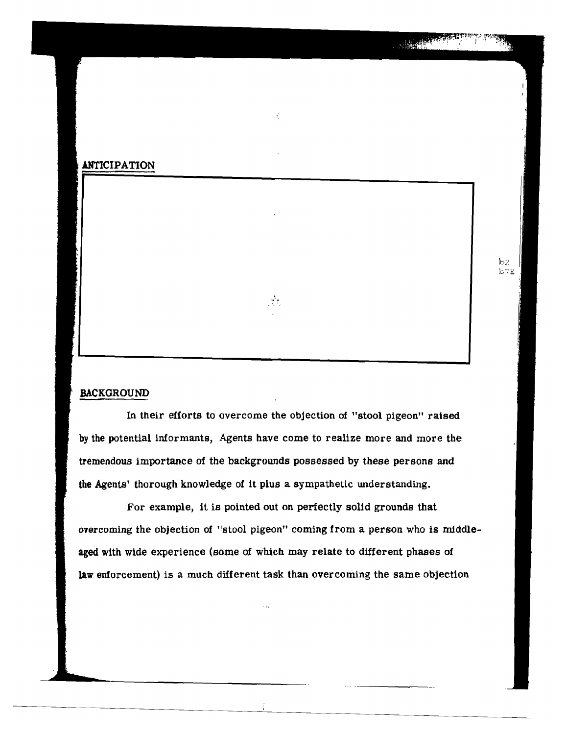#### **ANTICIPATION**

#### BACKGROUND

In their efforts to overcome the objection of "stool pigeon" raised by the potential informants, Agents have come to realize more and more the tremendous imporlance of the backgrounds possessed by these persons and the Agents' thorough knowledge of it plus a sympathetic understanding.

 $\frac{1}{2}$ 

For example, it is pointed out on perfectly solid grounds that overcoming the objection of "stool pigeon" coming from a person who is middleaged with wide experience (some of which may relate to different phases of law enforcement) is a much different task than overcoming the same objection

 $h2$ b7E

**Missilian**